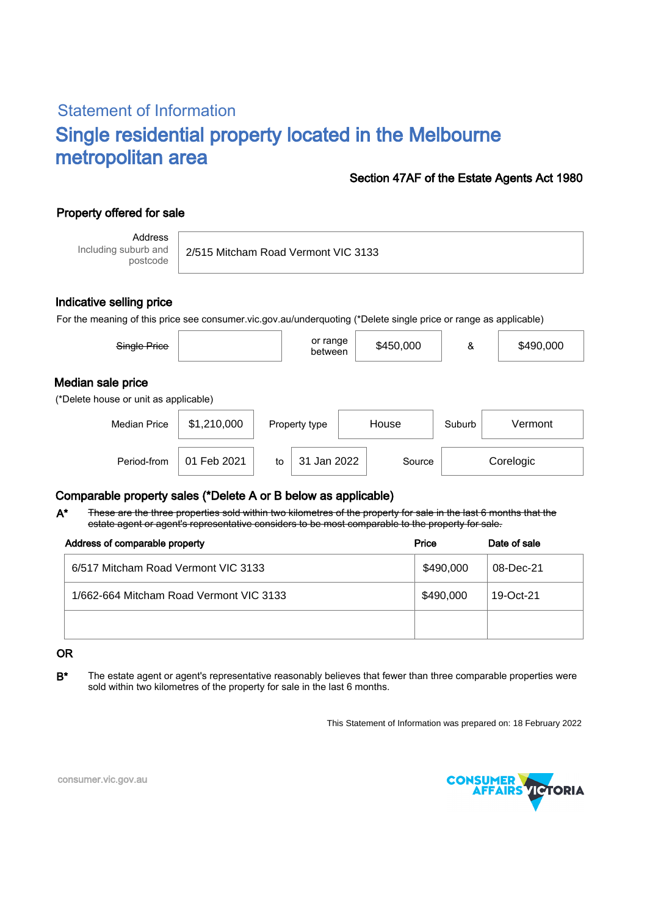# Statement of Information Single residential property located in the Melbourne metropolitan area

### Section 47AF of the Estate Agents Act 1980

## Property offered for sale

Address Including suburb and postcode

2/515 Mitcham Road Vermont VIC 3133

#### Indicative selling price

For the meaning of this price see consumer.vic.gov.au/underquoting (\*Delete single price or range as applicable)

| Single Price                                               |             |    | or range<br>between |       | \$450,000           | &      | \$490,000 |  |
|------------------------------------------------------------|-------------|----|---------------------|-------|---------------------|--------|-----------|--|
| Median sale price<br>(*Delete house or unit as applicable) |             |    |                     |       |                     |        |           |  |
| <b>Median Price</b>                                        | \$1,210,000 |    | Property type       | House |                     | Suburb | Vermont   |  |
| Period-from                                                | 01 Feb 2021 | to | 31 Jan 2022         |       | Corelogic<br>Source |        |           |  |

### Comparable property sales (\*Delete A or B below as applicable)

These are the three properties sold within two kilometres of the property for sale in the last 6 months that the estate agent or agent's representative considers to be most comparable to the property for sale. A\*

| Address of comparable property          | Price     | Date of sale |
|-----------------------------------------|-----------|--------------|
| 6/517 Mitcham Road Vermont VIC 3133     | \$490,000 | 08-Dec-21    |
| 1/662-664 Mitcham Road Vermont VIC 3133 | \$490,000 | 19-Oct-21    |
|                                         |           |              |

#### OR

B<sup>\*</sup> The estate agent or agent's representative reasonably believes that fewer than three comparable properties were sold within two kilometres of the property for sale in the last 6 months.

This Statement of Information was prepared on: 18 February 2022



consumer.vic.gov.au